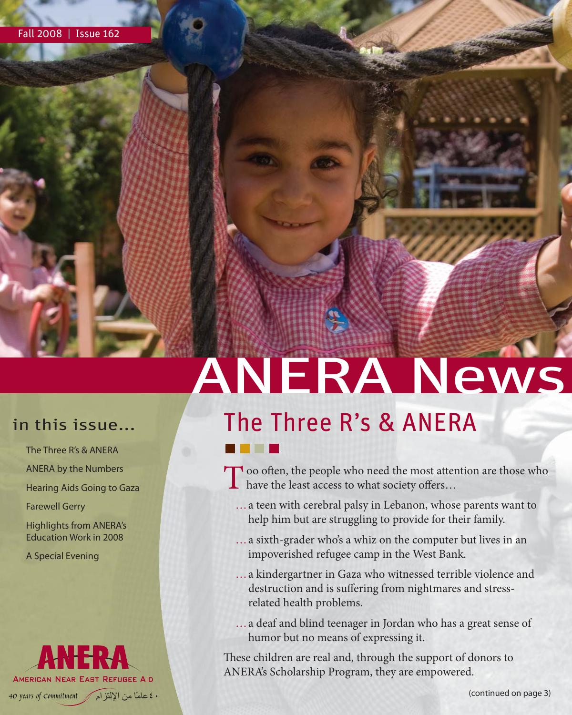#### in this issue...

The Three R's & ANERA

ANERA by the Numbers

Hearing Aids Going to Gaza

Farewell Gerry

Highlights from ANERA's Education Work in 2008

A Special Evening



# ANERA News

### The Three R's & ANERA

Too often, the people who need the most attention are those who have the least access to what society offers...

- … a teen with cerebral palsy in Lebanon, whose parents want to help him but are struggling to provide for their family.
- … a sixth-grader who's a whiz on the computer but lives in an impoverished refugee camp in the West Bank.
- … a kindergartner in Gaza who witnessed terrible violence and destruction and is suffering from nightmares and stressrelated health problems.
- … a deaf and blind teenager in Jordan who has a great sense of humor but no means of expressing it.

These children are real and, through the support of donors to ANERA's Scholarship Program, they are empowered.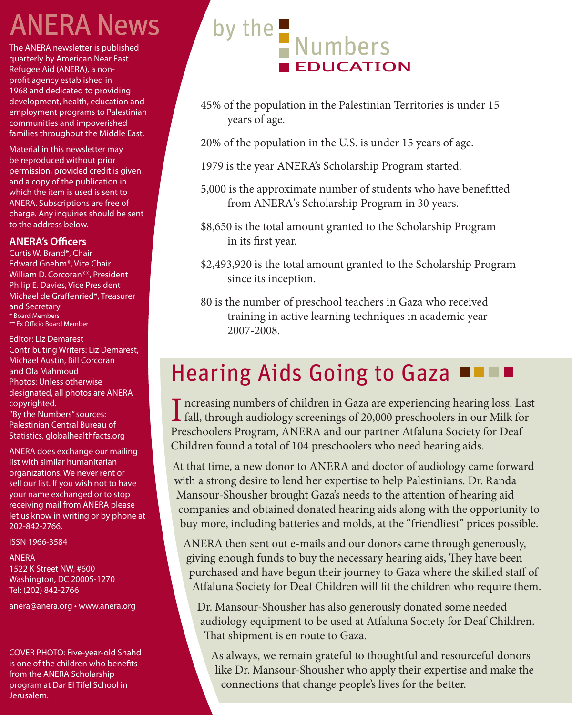### **ANERA News**

The ANERA newsletter is published quarterly by American Near East Refugee Aid (ANERA), a nonprofit agency established in 1968 and dedicated to providing development, health, education and employment programs to Palestinian communities and impoverished families throughout the Middle East.

Material in this newsletter may be reproduced without prior permission, provided credit is given and a copy of the publication in which the item is used is sent to ANERA. Subscriptions are free of charge. Any inquiries should be sent to the address below.

#### **ANERA's Offi cers**

Curtis W. Brand\*, Chair Edward Gnehm\*, Vice Chair William D. Corcoran\*\*, President Philip E. Davies, Vice President Michael de Graffenried\*, Treasurer and Secretary \* Board Members \*\* Ex Officio Board Member

Editor: Liz Demarest Contributing Writers: Liz Demarest, Michael Austin, Bill Corcoran and Ola Mahmoud Photos: Unless otherwise designated, all photos are ANERA copyrighted. "By the Numbers" sources:

Palestinian Central Bureau of Statistics, globalhealthfacts.org

ANERA does exchange our mailing list with similar humanitarian organizations. We never rent or sell our list. If you wish not to have your name exchanged or to stop receiving mail from ANERA please let us know in writing or by phone at 202-842-2766.

ISSN 1966-3584

ANERA 1522 K Street NW, #600 Washington, DC 20005-1270 Tel: (202) 842-2766

anera@anera.org • www.anera.org

COVER PHOTO: Five-year-old Shahd is one of the children who benefits from the ANERA Scholarship program at Dar El Tifel School in Jerusalem.



- 45% of the population in the Palestinian Territories is under 15 years of age.
- 20% of the population in the U.S. is under 15 years of age.
- 1979 is the year ANERA's Scholarship Program started.
- 5,000 is the approximate number of students who have benefitted from ANERA's Scholarship Program in 30 years.
- \$8,650 is the total amount granted to the Scholarship Program in its first year.
- \$2,493,920 is the total amount granted to the Scholarship Program since its inception.
- 80 is the number of preschool teachers in Gaza who received training in active learning techniques in academic year 2007-2008.

### Hearing Aids Going to Gaza

I ncreasing numbers of children in Gaza are experiencing hearing loss. Last<br>fall, through audiology screenings of 20,000 preschoolers in our Milk for fall, through audiology screenings of 20,000 preschoolers in our Milk for Preschoolers Program, ANERA and our partner Atfaluna Society for Deaf Children found a total of 104 preschoolers who need hearing aids.

At that time, a new donor to ANERA and doctor of audiology came forward with a strong desire to lend her expertise to help Palestinians. Dr. Randa Mansour-Shousher brought Gaza's needs to the attention of hearing aid companies and obtained donated hearing aids along with the opportunity to buy more, including batteries and molds, at the "friendliest" prices possible.

ANERA then sent out e-mails and our donors came through generously, giving enough funds to buy the necessary hearing aids, They have been purchased and have begun their journey to Gaza where the skilled staff of Atfaluna Society for Deaf Children will fit the children who require them.

Dr. Mansour-Shousher has also generously donated some needed audiology equipment to be used at Atfaluna Society for Deaf Children. That shipment is en route to Gaza.

As always, we remain grateful to thoughtful and resourceful donors like Dr. Mansour-Shousher who apply their expertise and make the connections that change people's lives for the better.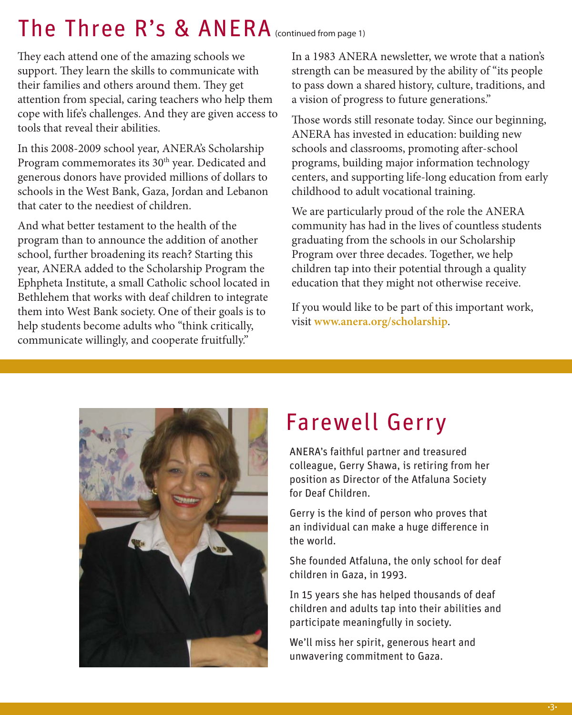### The Three R's & ANERA (continued from page 1)

They each attend one of the amazing schools we support. They learn the skills to communicate with their families and others around them. They get attention from special, caring teachers who help them cope with life's challenges. And they are given access to tools that reveal their abilities.

In this 2008-2009 school year, ANERA's Scholarship Program commemorates its 30<sup>th</sup> year. Dedicated and generous donors have provided millions of dollars to schools in the West Bank, Gaza, Jordan and Lebanon that cater to the neediest of children.

And what better testament to the health of the program than to announce the addition of another school, further broadening its reach? Starting this year, ANERA added to the Scholarship Program the Ephpheta Institute, a small Catholic school located in Bethlehem that works with deaf children to integrate them into West Bank society. One of their goals is to help students become adults who "think critically, communicate willingly, and cooperate fruitfully."

In a 1983 ANERA newsletter, we wrote that a nation's strength can be measured by the ability of "its people to pass down a shared history, culture, traditions, and a vision of progress to future generations."

Those words still resonate today. Since our beginning, ANERA has invested in education: building new schools and classrooms, promoting after-school programs, building major information technology centers, and supporting life-long education from early childhood to adult vocational training.

We are particularly proud of the role the ANERA community has had in the lives of countless students graduating from the schools in our Scholarship Program over three decades. Together, we help children tap into their potential through a quality education that they might not otherwise receive.

If you would like to be part of this important work, visit **www.anera.org/scholarship**.



### Farewell Gerry

ANERA's faithful partner and treasured colleague, Gerry Shawa, is retiring from her position as Director of the Atfaluna Society for Deaf Children.

Gerry is the kind of person who proves that an individual can make a huge difference in the world.

She founded Atfaluna, the only school for deaf children in Gaza, in 1993.

In 15 years she has helped thousands of deaf children and adults tap into their abilities and participate meaningfully in society.

We'll miss her spirit, generous heart and unwavering commitment to Gaza.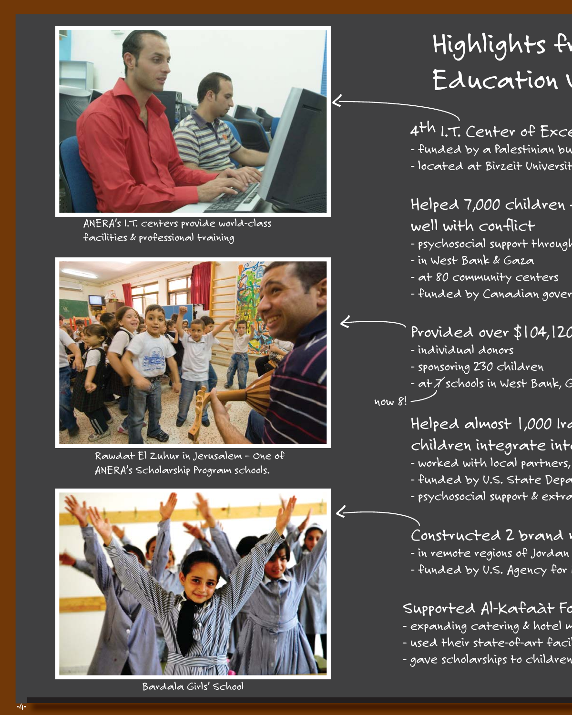

ANERA's I.T. centers provide world-class facilities & professional training



Rawdat El Zuhur in Jerusalem – One of ANERA's Scholarship Program schools.



Bardala Girls' School

### Highlights fr Education !

### 4th I.T. Center of Exce

- funded by a Palestinian bu
- located at Birzeit Universit

#### Helped 7,000 children. well with conflict

- psychosocial support through
- in West Bank & Gaza
- at 80 community centers
- funded by Canadian gover

#### Provided over \$104,120

- individual donors
- sponsoring 230 children
- at  $\cancel{\pi}$ schools in West Bank, G

 $now 8!$ 

 $\bm{\epsilon}$ 

 $\bm{\mathcal{L}}$ 

#### Helped almost 1,000 Ira children integrate into

- worked with local partners,
- funded by U.S. State Depa
- psychosocial support & extra

#### Constructed 2 brand n

- in remote regions of Jordan
- funded by U.S. Agency for

#### Supported Al-Kafaàt Fo

- expanding catering & hotel m
- used their state-of-art facil
- gave scholarships to children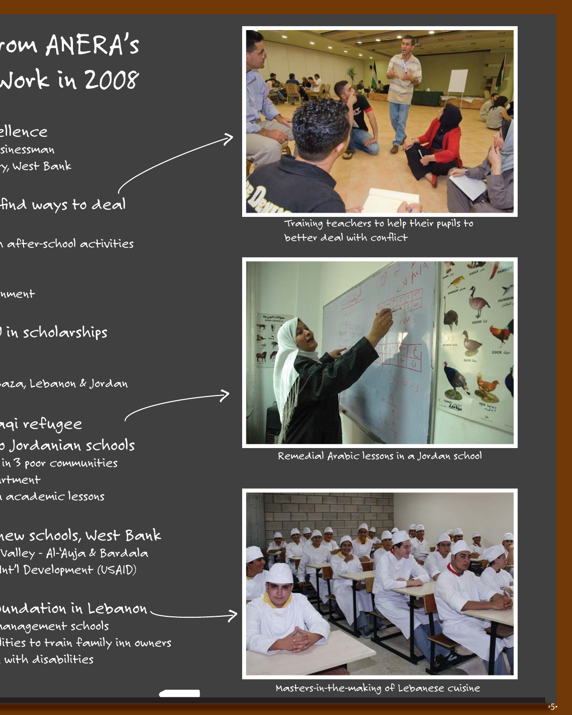### rom ANERA's Work in 2008

ellence <u>sinessman</u> ty, West Bank

find ways to deal

h after-school activities

rnment

0 in scholarships

Gaza, Lebanon & Jordan

>

>

aqi refugee o Jordanian schools in 3 poor communities artment a academic lessons

new schools, West Bank Valley - Al-'Auja & Bardala Int'l Development (USAID)

undation in Lebanon. management schools lities to train family inn owners

with disabilities



Training teachers to help their pupils to better deal with conflict



Remedial Arabic lessons in a Jordan school



Masters-in-the-making of Lebanese cuisine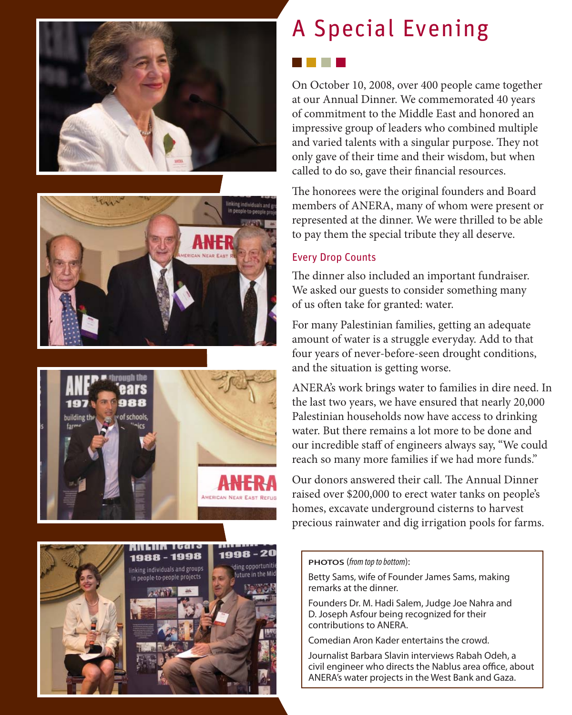







### A Special Evening

On October 10, 2008, over 400 people came together at our Annual Dinner. We commemorated 40 years of commitment to the Middle East and honored an impressive group of leaders who combined multiple and varied talents with a singular purpose. They not only gave of their time and their wisdom, but when called to do so, gave their financial resources.<br>The honorees were the original founders and Board

members of ANERA, many of whom were present or represented at the dinner. We were thrilled to be able to pay them the special tribute they all deserve.

#### Every Drop Counts

The dinner also included an important fundraiser. We asked our guests to consider something many of us often take for granted: water.

For many Palestinian families, getting an adequate amount of water is a struggle everyday. Add to that four years of never-before-seen drought conditions, and the situation is getting worse.

ANERA's work brings water to families in dire need. In the last two years, we have ensured that nearly 20,000 Palestinian households now have access to drinking water. But there remains a lot more to be done and our incredible staff of engineers always say, "We could reach so many more families if we had more funds."

Our donors answered their call. The Annual Dinner raised over \$200,000 to erect water tanks on people's homes, excavate underground cisterns to harvest precious rainwater and dig irrigation pools for farms.

**PHOTOS** (from top to bottom):

Betty Sams, wife of Founder James Sams, making remarks at the dinner.

Founders Dr. M. Hadi Salem, Judge Joe Nahra and D. Joseph Asfour being recognized for their contributions to ANERA.

Comedian Aron Kader entertains the crowd.

Journalist Barbara Slavin interviews Rabah Odeh, a civil engineer who directs the Nablus area office, about ANERA's water projects in the West Bank and Gaza.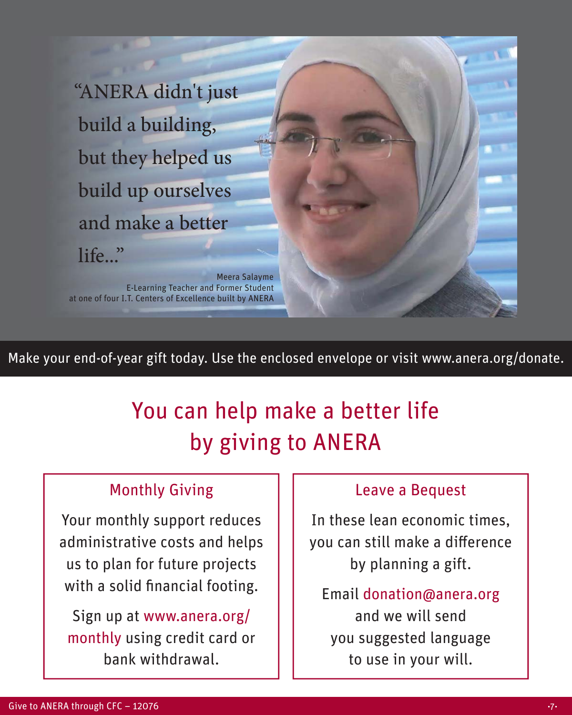"ANERA didn't just build a building, but they helped us build up ourselves and make a better

life..."

Meera Salayme E-Learning Teacher and Former Student at one of four I.T. Centers of Excellence built by ANERA

Make your end-of-year gift today. Use the enclosed envelope or visit www.anera.org/donate.

### You can help make a better life by giving to ANERA

#### Monthly Giving

Your monthly support reduces administrative costs and helps us to plan for future projects with a solid financial footing.

Sign up at www.anera.org/ monthly using credit card or bank withdrawal.

#### Leave a Bequest

In these lean economic times, you can still make a difference by planning a gift.

Email donation@anera.org and we will send you suggested language to use in your will.